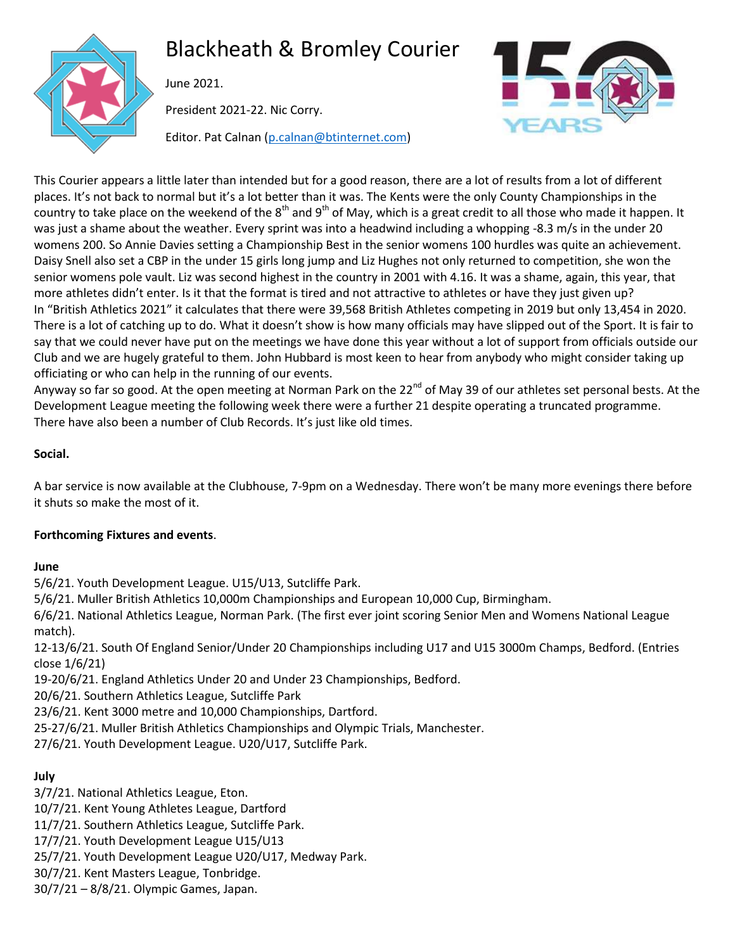

# Blackheath & Bromley Courier

June 2021.

President 2021-22. Nic Corry.

Editor. Pat Calnan [\(p.calnan@btinternet.com\)](mailto:p.calnan@btinternet.com)



This Courier appears a little later than intended but for a good reason, there are a lot of results from a lot of different places. It's not back to normal but it's a lot better than it was. The Kents were the only County Championships in the country to take place on the weekend of the  $8<sup>th</sup>$  and  $9<sup>th</sup>$  of May, which is a great credit to all those who made it happen. It was just a shame about the weather. Every sprint was into a headwind including a whopping -8.3 m/s in the under 20 womens 200. So Annie Davies setting a Championship Best in the senior womens 100 hurdles was quite an achievement. Daisy Snell also set a CBP in the under 15 girls long jump and Liz Hughes not only returned to competition, she won the senior womens pole vault. Liz was second highest in the country in 2001 with 4.16. It was a shame, again, this year, that more athletes didn't enter. Is it that the format is tired and not attractive to athletes or have they just given up? In "British Athletics 2021" it calculates that there were 39,568 British Athletes competing in 2019 but only 13,454 in 2020. There is a lot of catching up to do. What it doesn't show is how many officials may have slipped out of the Sport. It is fair to say that we could never have put on the meetings we have done this year without a lot of support from officials outside our Club and we are hugely grateful to them. John Hubbard is most keen to hear from anybody who might consider taking up officiating or who can help in the running of our events.

Anyway so far so good. At the open meeting at Norman Park on the 22<sup>nd</sup> of May 39 of our athletes set personal bests. At the Development League meeting the following week there were a further 21 despite operating a truncated programme. There have also been a number of Club Records. It's just like old times.

# **Social.**

A bar service is now available at the Clubhouse, 7-9pm on a Wednesday. There won't be many more evenings there before it shuts so make the most of it.

# **Forthcoming Fixtures and events**.

#### **June**

5/6/21. Youth Development League. U15/U13, Sutcliffe Park.

5/6/21. Muller British Athletics 10,000m Championships and European 10,000 Cup, Birmingham.

6/6/21. National Athletics League, Norman Park. (The first ever joint scoring Senior Men and Womens National League match).

12-13/6/21. South Of England Senior/Under 20 Championships including U17 and U15 3000m Champs, Bedford. (Entries close 1/6/21)

19-20/6/21. England Athletics Under 20 and Under 23 Championships, Bedford.

20/6/21. Southern Athletics League, Sutcliffe Park

23/6/21. Kent 3000 metre and 10,000 Championships, Dartford.

25-27/6/21. Muller British Athletics Championships and Olympic Trials, Manchester.

27/6/21. Youth Development League. U20/U17, Sutcliffe Park.

# **July**

3/7/21. National Athletics League, Eton.

10/7/21. Kent Young Athletes League, Dartford

11/7/21. Southern Athletics League, Sutcliffe Park.

17/7/21. Youth Development League U15/U13

25/7/21. Youth Development League U20/U17, Medway Park.

30/7/21. Kent Masters League, Tonbridge.

30/7/21 – 8/8/21. Olympic Games, Japan.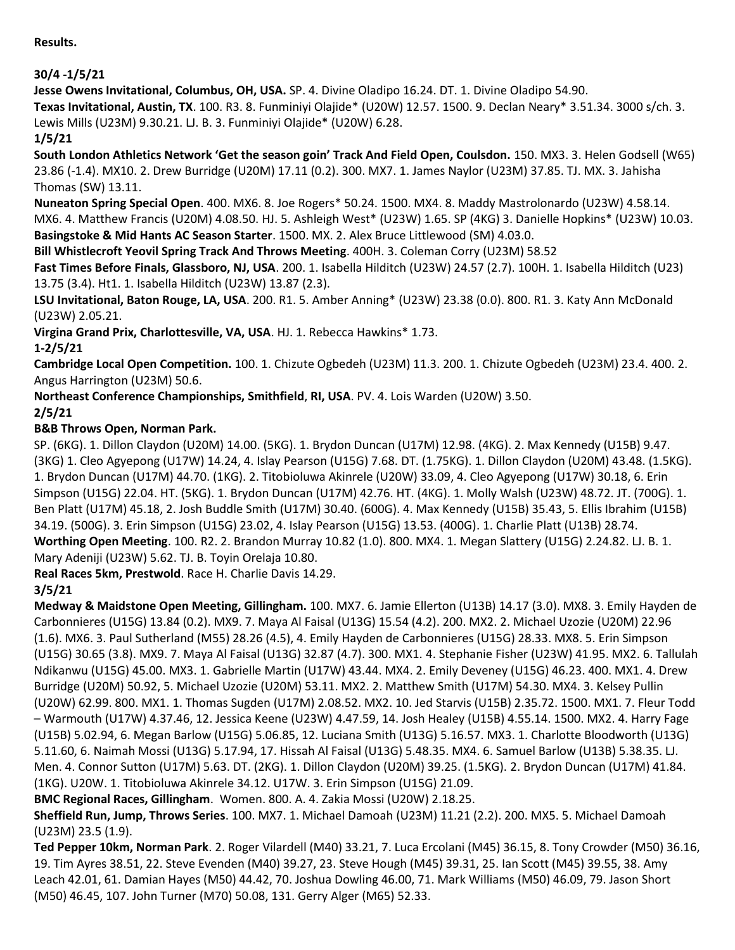**Results.**

# **30/4 -1/5/21**

**Jesse Owens Invitational, Columbus, OH, USA.** SP. 4. Divine Oladipo 16.24. DT. 1. Divine Oladipo 54.90.

**Texas Invitational, Austin, TX**. 100. R3. 8. Funminiyi Olajide\* (U20W) 12.57. 1500. 9. Declan Neary\* 3.51.34. 3000 s/ch. 3. Lewis Mills (U23M) 9.30.21. LJ. B. 3. Funminiyi Olajide\* (U20W) 6.28.

## **1/5/21**

**South London Athletics Network 'Get the season goin' Track And Field Open, Coulsdon.** 150. MX3. 3. Helen Godsell (W65) 23.86 (-1.4). MX10. 2. Drew Burridge (U20M) 17.11 (0.2). 300. MX7. 1. James Naylor (U23M) 37.85. TJ. MX. 3. Jahisha Thomas (SW) 13.11.

**Nuneaton Spring Special Open**. 400. MX6. 8. Joe Rogers\* 50.24. 1500. MX4. 8. Maddy Mastrolonardo (U23W) 4.58.14. MX6. 4. Matthew Francis (U20M) 4.08.50. HJ. 5. Ashleigh West\* (U23W) 1.65. SP (4KG) 3. Danielle Hopkins\* (U23W) 10.03. **Basingstoke & Mid Hants AC Season Starter**. 1500. MX. 2. Alex Bruce Littlewood (SM) 4.03.0.

**Bill Whistlecroft Yeovil Spring Track And Throws Meeting**. 400H. 3. Coleman Corry (U23M) 58.52

**Fast Times Before Finals, Glassboro, NJ, USA**. 200. 1. Isabella Hilditch (U23W) 24.57 (2.7). 100H. 1. Isabella Hilditch (U23) 13.75 (3.4). Ht1. 1. Isabella Hilditch (U23W) 13.87 (2.3).

**LSU Invitational, Baton Rouge, LA, USA**. 200. R1. 5. Amber Anning\* (U23W) 23.38 (0.0). 800. R1. 3. Katy Ann McDonald (U23W) 2.05.21.

**Virgina Grand Prix, Charlottesville, VA, USA**. HJ. 1. Rebecca Hawkins\* 1.73.

# **1-2/5/21**

**Cambridge Local Open Competition.** 100. 1. Chizute Ogbedeh (U23M) 11.3. 200. 1. Chizute Ogbedeh (U23M) 23.4. 400. 2. Angus Harrington (U23M) 50.6.

**Northeast Conference Championships, Smithfield**, **RI, USA**. PV. 4. Lois Warden (U20W) 3.50. **2/5/21**

# **B&B Throws Open, Norman Park.**

SP. (6KG). 1. Dillon Claydon (U20M) 14.00. (5KG). 1. Brydon Duncan (U17M) 12.98. (4KG). 2. Max Kennedy (U15B) 9.47. (3KG) 1. Cleo Agyepong (U17W) 14.24, 4. Islay Pearson (U15G) 7.68. DT. (1.75KG). 1. Dillon Claydon (U20M) 43.48. (1.5KG). 1. Brydon Duncan (U17M) 44.70. (1KG). 2. Titobioluwa Akinrele (U20W) 33.09, 4. Cleo Agyepong (U17W) 30.18, 6. Erin Simpson (U15G) 22.04. HT. (5KG). 1. Brydon Duncan (U17M) 42.76. HT. (4KG). 1. Molly Walsh (U23W) 48.72. JT. (700G). 1. Ben Platt (U17M) 45.18, 2. Josh Buddle Smith (U17M) 30.40. (600G). 4. Max Kennedy (U15B) 35.43, 5. Ellis Ibrahim (U15B) 34.19. (500G). 3. Erin Simpson (U15G) 23.02, 4. Islay Pearson (U15G) 13.53. (400G). 1. Charlie Platt (U13B) 28.74. **Worthing Open Meeting**. 100. R2. 2. Brandon Murray 10.82 (1.0). 800. MX4. 1. Megan Slattery (U15G) 2.24.82. LJ. B. 1. Mary Adeniji (U23W) 5.62. TJ. B. Toyin Orelaja 10.80.

**Real Races 5km, Prestwold**. Race H. Charlie Davis 14.29.

# **3/5/21**

**Medway & Maidstone Open Meeting, Gillingham.** 100. MX7. 6. Jamie Ellerton (U13B) 14.17 (3.0). MX8. 3. Emily Hayden de Carbonnieres (U15G) 13.84 (0.2). MX9. 7. Maya Al Faisal (U13G) 15.54 (4.2). 200. MX2. 2. Michael Uzozie (U20M) 22.96 (1.6). MX6. 3. Paul Sutherland (M55) 28.26 (4.5), 4. Emily Hayden de Carbonnieres (U15G) 28.33. MX8. 5. Erin Simpson (U15G) 30.65 (3.8). MX9. 7. Maya Al Faisal (U13G) 32.87 (4.7). 300. MX1. 4. Stephanie Fisher (U23W) 41.95. MX2. 6. Tallulah Ndikanwu (U15G) 45.00. MX3. 1. Gabrielle Martin (U17W) 43.44. MX4. 2. Emily Deveney (U15G) 46.23. 400. MX1. 4. Drew Burridge (U20M) 50.92, 5. Michael Uzozie (U20M) 53.11. MX2. 2. Matthew Smith (U17M) 54.30. MX4. 3. Kelsey Pullin (U20W) 62.99. 800. MX1. 1. Thomas Sugden (U17M) 2.08.52. MX2. 10. Jed Starvis (U15B) 2.35.72. 1500. MX1. 7. Fleur Todd – Warmouth (U17W) 4.37.46, 12. Jessica Keene (U23W) 4.47.59, 14. Josh Healey (U15B) 4.55.14. 1500. MX2. 4. Harry Fage (U15B) 5.02.94, 6. Megan Barlow (U15G) 5.06.85, 12. Luciana Smith (U13G) 5.16.57. MX3. 1. Charlotte Bloodworth (U13G) 5.11.60, 6. Naimah Mossi (U13G) 5.17.94, 17. Hissah Al Faisal (U13G) 5.48.35. MX4. 6. Samuel Barlow (U13B) 5.38.35. LJ. Men. 4. Connor Sutton (U17M) 5.63. DT. (2KG). 1. Dillon Claydon (U20M) 39.25. (1.5KG). 2. Brydon Duncan (U17M) 41.84. (1KG). U20W. 1. Titobioluwa Akinrele 34.12. U17W. 3. Erin Simpson (U15G) 21.09.

**BMC Regional Races, Gillingham**. Women. 800. A. 4. Zakia Mossi (U20W) 2.18.25.

**Sheffield Run, Jump, Throws Series**. 100. MX7. 1. Michael Damoah (U23M) 11.21 (2.2). 200. MX5. 5. Michael Damoah (U23M) 23.5 (1.9).

**Ted Pepper 10km, Norman Park**. 2. Roger Vilardell (M40) 33.21, 7. Luca Ercolani (M45) 36.15, 8. Tony Crowder (M50) 36.16, 19. Tim Ayres 38.51, 22. Steve Evenden (M40) 39.27, 23. Steve Hough (M45) 39.31, 25. Ian Scott (M45) 39.55, 38. Amy Leach 42.01, 61. Damian Hayes (M50) 44.42, 70. Joshua Dowling 46.00, 71. Mark Williams (M50) 46.09, 79. Jason Short (M50) 46.45, 107. John Turner (M70) 50.08, 131. Gerry Alger (M65) 52.33.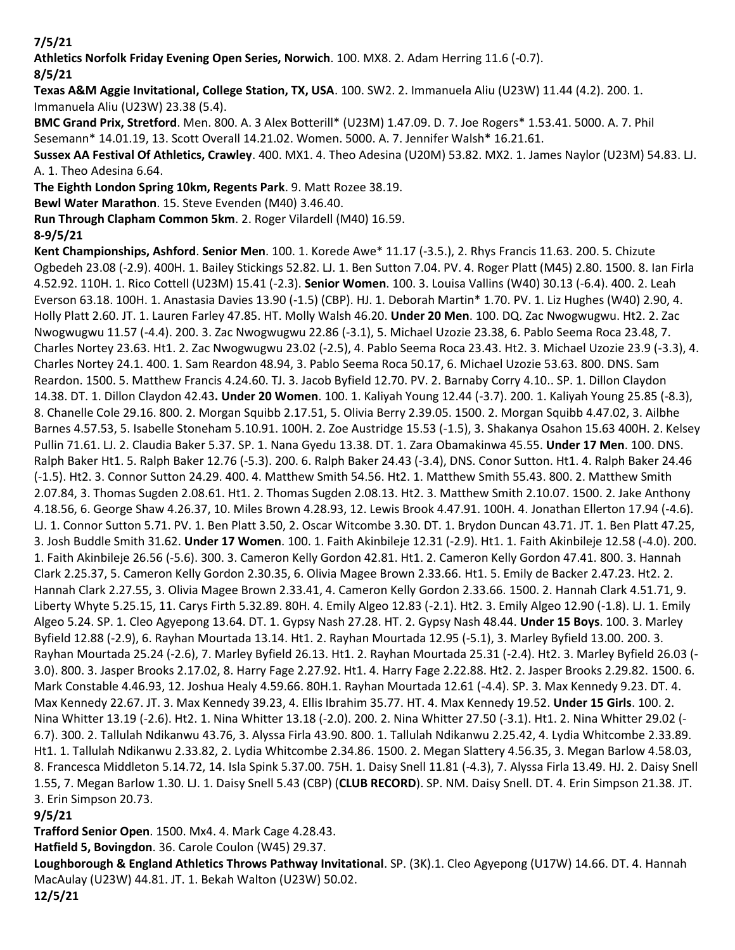**7/5/21**

**Athletics Norfolk Friday Evening Open Series, Norwich**. 100. MX8. 2. Adam Herring 11.6 (-0.7).

**8/5/21**

**Texas A&M Aggie Invitational, College Station, TX, USA**. 100. SW2. 2. Immanuela Aliu (U23W) 11.44 (4.2). 200. 1. Immanuela Aliu (U23W) 23.38 (5.4).

**BMC Grand Prix, Stretford**. Men. 800. A. 3 Alex Botterill\* (U23M) 1.47.09. D. 7. Joe Rogers\* 1.53.41. 5000. A. 7. Phil Sesemann\* 14.01.19, 13. Scott Overall 14.21.02. Women. 5000. A. 7. Jennifer Walsh\* 16.21.61.

**Sussex AA Festival Of Athletics, Crawley**. 400. MX1. 4. Theo Adesina (U20M) 53.82. MX2. 1. James Naylor (U23M) 54.83. LJ. A. 1. Theo Adesina 6.64.

**The Eighth London Spring 10km, Regents Park**. 9. Matt Rozee 38.19.

**Bewl Water Marathon**. 15. Steve Evenden (M40) 3.46.40.

**Run Through Clapham Common 5km**. 2. Roger Vilardell (M40) 16.59.

**8-9/5/21**

**Kent Championships, Ashford**. **Senior Men**. 100. 1. Korede Awe\* 11.17 (-3.5.), 2. Rhys Francis 11.63. 200. 5. Chizute Ogbedeh 23.08 (-2.9). 400H. 1. Bailey Stickings 52.82. LJ. 1. Ben Sutton 7.04. PV. 4. Roger Platt (M45) 2.80. 1500. 8. Ian Firla 4.52.92. 110H. 1. Rico Cottell (U23M) 15.41 (-2.3). **Senior Women**. 100. 3. Louisa Vallins (W40) 30.13 (-6.4). 400. 2. Leah Everson 63.18. 100H. 1. Anastasia Davies 13.90 (-1.5) (CBP). HJ. 1. Deborah Martin\* 1.70. PV. 1. Liz Hughes (W40) 2.90, 4. Holly Platt 2.60. JT. 1. Lauren Farley 47.85. HT. Molly Walsh 46.20. **Under 20 Men**. 100. DQ. Zac Nwogwugwu. Ht2. 2. Zac Nwogwugwu 11.57 (-4.4). 200. 3. Zac Nwogwugwu 22.86 (-3.1), 5. Michael Uzozie 23.38, 6. Pablo Seema Roca 23.48, 7. Charles Nortey 23.63. Ht1. 2. Zac Nwogwugwu 23.02 (-2.5), 4. Pablo Seema Roca 23.43. Ht2. 3. Michael Uzozie 23.9 (-3.3), 4. Charles Nortey 24.1. 400. 1. Sam Reardon 48.94, 3. Pablo Seema Roca 50.17, 6. Michael Uzozie 53.63. 800. DNS. Sam Reardon. 1500. 5. Matthew Francis 4.24.60. TJ. 3. Jacob Byfield 12.70. PV. 2. Barnaby Corry 4.10.. SP. 1. Dillon Claydon 14.38. DT. 1. Dillon Claydon 42.43**. Under 20 Women**. 100. 1. Kaliyah Young 12.44 (-3.7). 200. 1. Kaliyah Young 25.85 (-8.3), 8. Chanelle Cole 29.16. 800. 2. Morgan Squibb 2.17.51, 5. Olivia Berry 2.39.05. 1500. 2. Morgan Squibb 4.47.02, 3. Ailbhe Barnes 4.57.53, 5. Isabelle Stoneham 5.10.91. 100H. 2. Zoe Austridge 15.53 (-1.5), 3. Shakanya Osahon 15.63 400H. 2. Kelsey Pullin 71.61. LJ. 2. Claudia Baker 5.37. SP. 1. Nana Gyedu 13.38. DT. 1. Zara Obamakinwa 45.55. **Under 17 Men**. 100. DNS. Ralph Baker Ht1. 5. Ralph Baker 12.76 (-5.3). 200. 6. Ralph Baker 24.43 (-3.4), DNS. Conor Sutton. Ht1. 4. Ralph Baker 24.46 (-1.5). Ht2. 3. Connor Sutton 24.29. 400. 4. Matthew Smith 54.56. Ht2. 1. Matthew Smith 55.43. 800. 2. Matthew Smith 2.07.84, 3. Thomas Sugden 2.08.61. Ht1. 2. Thomas Sugden 2.08.13. Ht2. 3. Matthew Smith 2.10.07. 1500. 2. Jake Anthony 4.18.56, 6. George Shaw 4.26.37, 10. Miles Brown 4.28.93, 12. Lewis Brook 4.47.91. 100H. 4. Jonathan Ellerton 17.94 (-4.6). LJ. 1. Connor Sutton 5.71. PV. 1. Ben Platt 3.50, 2. Oscar Witcombe 3.30. DT. 1. Brydon Duncan 43.71. JT. 1. Ben Platt 47.25, 3. Josh Buddle Smith 31.62. **Under 17 Women**. 100. 1. Faith Akinbileje 12.31 (-2.9). Ht1. 1. Faith Akinbileje 12.58 (-4.0). 200. 1. Faith Akinbileje 26.56 (-5.6). 300. 3. Cameron Kelly Gordon 42.81. Ht1. 2. Cameron Kelly Gordon 47.41. 800. 3. Hannah Clark 2.25.37, 5. Cameron Kelly Gordon 2.30.35, 6. Olivia Magee Brown 2.33.66. Ht1. 5. Emily de Backer 2.47.23. Ht2. 2. Hannah Clark 2.27.55, 3. Olivia Magee Brown 2.33.41, 4. Cameron Kelly Gordon 2.33.66. 1500. 2. Hannah Clark 4.51.71, 9. Liberty Whyte 5.25.15, 11. Carys Firth 5.32.89. 80H. 4. Emily Algeo 12.83 (-2.1). Ht2. 3. Emily Algeo 12.90 (-1.8). LJ. 1. Emily Algeo 5.24. SP. 1. Cleo Agyepong 13.64. DT. 1. Gypsy Nash 27.28. HT. 2. Gypsy Nash 48.44. **Under 15 Boys**. 100. 3. Marley Byfield 12.88 (-2.9), 6. Rayhan Mourtada 13.14. Ht1. 2. Rayhan Mourtada 12.95 (-5.1), 3. Marley Byfield 13.00. 200. 3. Rayhan Mourtada 25.24 (-2.6), 7. Marley Byfield 26.13. Ht1. 2. Rayhan Mourtada 25.31 (-2.4). Ht2. 3. Marley Byfield 26.03 (- 3.0). 800. 3. Jasper Brooks 2.17.02, 8. Harry Fage 2.27.92. Ht1. 4. Harry Fage 2.22.88. Ht2. 2. Jasper Brooks 2.29.82. 1500. 6. Mark Constable 4.46.93, 12. Joshua Healy 4.59.66. 80H.1. Rayhan Mourtada 12.61 (-4.4). SP. 3. Max Kennedy 9.23. DT. 4. Max Kennedy 22.67. JT. 3. Max Kennedy 39.23, 4. Ellis Ibrahim 35.77. HT. 4. Max Kennedy 19.52. **Under 15 Girls**. 100. 2. Nina Whitter 13.19 (-2.6). Ht2. 1. Nina Whitter 13.18 (-2.0). 200. 2. Nina Whitter 27.50 (-3.1). Ht1. 2. Nina Whitter 29.02 (- 6.7). 300. 2. Tallulah Ndikanwu 43.76, 3. Alyssa Firla 43.90. 800. 1. Tallulah Ndikanwu 2.25.42, 4. Lydia Whitcombe 2.33.89. Ht1. 1. Tallulah Ndikanwu 2.33.82, 2. Lydia Whitcombe 2.34.86. 1500. 2. Megan Slattery 4.56.35, 3. Megan Barlow 4.58.03, 8. Francesca Middleton 5.14.72, 14. Isla Spink 5.37.00. 75H. 1. Daisy Snell 11.81 (-4.3), 7. Alyssa Firla 13.49. HJ. 2. Daisy Snell 1.55, 7. Megan Barlow 1.30. LJ. 1. Daisy Snell 5.43 (CBP) (**CLUB RECORD**). SP. NM. Daisy Snell. DT. 4. Erin Simpson 21.38. JT. 3. Erin Simpson 20.73.

**9/5/21**

**Trafford Senior Open**. 1500. Mx4. 4. Mark Cage 4.28.43.

**Hatfield 5, Bovingdon**. 36. Carole Coulon (W45) 29.37.

**Loughborough & England Athletics Throws Pathway Invitational**. SP. (3K).1. Cleo Agyepong (U17W) 14.66. DT. 4. Hannah MacAulay (U23W) 44.81. JT. 1. Bekah Walton (U23W) 50.02.

**12/5/21**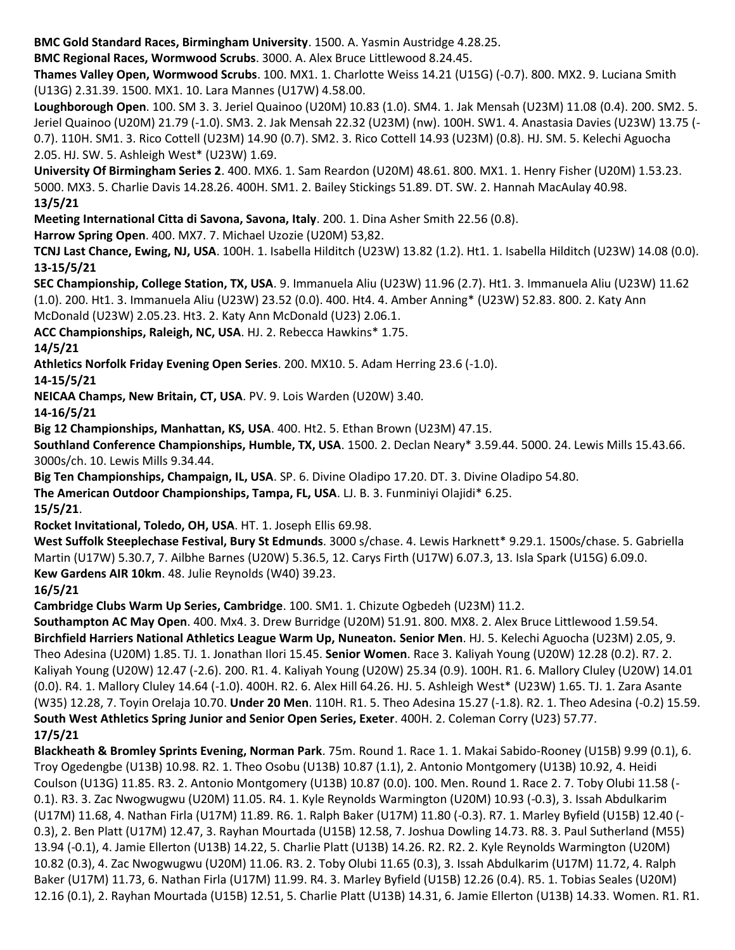**BMC Gold Standard Races, Birmingham University**. 1500. A. Yasmin Austridge 4.28.25.

**BMC Regional Races, Wormwood Scrubs**. 3000. A. Alex Bruce Littlewood 8.24.45.

**Thames Valley Open, Wormwood Scrubs**. 100. MX1. 1. Charlotte Weiss 14.21 (U15G) (-0.7). 800. MX2. 9. Luciana Smith (U13G) 2.31.39. 1500. MX1. 10. Lara Mannes (U17W) 4.58.00.

**Loughborough Open**. 100. SM 3. 3. Jeriel Quainoo (U20M) 10.83 (1.0). SM4. 1. Jak Mensah (U23M) 11.08 (0.4). 200. SM2. 5. Jeriel Quainoo (U20M) 21.79 (-1.0). SM3. 2. Jak Mensah 22.32 (U23M) (nw). 100H. SW1. 4. Anastasia Davies (U23W) 13.75 (- 0.7). 110H. SM1. 3. Rico Cottell (U23M) 14.90 (0.7). SM2. 3. Rico Cottell 14.93 (U23M) (0.8). HJ. SM. 5. Kelechi Aguocha 2.05. HJ. SW. 5. Ashleigh West\* (U23W) 1.69.

**University Of Birmingham Series 2**. 400. MX6. 1. Sam Reardon (U20M) 48.61. 800. MX1. 1. Henry Fisher (U20M) 1.53.23. 5000. MX3. 5. Charlie Davis 14.28.26. 400H. SM1. 2. Bailey Stickings 51.89. DT. SW. 2. Hannah MacAulay 40.98. **13/5/21**

**Meeting International Citta di Savona, Savona, Italy**. 200. 1. Dina Asher Smith 22.56 (0.8).

**Harrow Spring Open**. 400. MX7. 7. Michael Uzozie (U20M) 53,82.

**TCNJ Last Chance, Ewing, NJ, USA**. 100H. 1. Isabella Hilditch (U23W) 13.82 (1.2). Ht1. 1. Isabella Hilditch (U23W) 14.08 (0.0). **13-15/5/21**

**SEC Championship, College Station, TX, USA**. 9. Immanuela Aliu (U23W) 11.96 (2.7). Ht1. 3. Immanuela Aliu (U23W) 11.62 (1.0). 200. Ht1. 3. Immanuela Aliu (U23W) 23.52 (0.0). 400. Ht4. 4. Amber Anning\* (U23W) 52.83. 800. 2. Katy Ann McDonald (U23W) 2.05.23. Ht3. 2. Katy Ann McDonald (U23) 2.06.1.

**ACC Championships, Raleigh, NC, USA**. HJ. 2. Rebecca Hawkins\* 1.75.

**14/5/21**

**Athletics Norfolk Friday Evening Open Series**. 200. MX10. 5. Adam Herring 23.6 (-1.0).

**14-15/5/21**

**NEICAA Champs, New Britain, CT, USA**. PV. 9. Lois Warden (U20W) 3.40.

**14-16/5/21**

**Big 12 Championships, Manhattan, KS, USA**. 400. Ht2. 5. Ethan Brown (U23M) 47.15.

**Southland Conference Championships, Humble, TX, USA**. 1500. 2. Declan Neary\* 3.59.44. 5000. 24. Lewis Mills 15.43.66. 3000s/ch. 10. Lewis Mills 9.34.44.

**Big Ten Championships, Champaign, IL, USA**. SP. 6. Divine Oladipo 17.20. DT. 3. Divine Oladipo 54.80.

**The American Outdoor Championships, Tampa, FL, USA**. LJ. B. 3. Funminiyi Olajidi\* 6.25.

**15/5/21**.

**Rocket Invitational, Toledo, OH, USA**. HT. 1. Joseph Ellis 69.98.

**West Suffolk Steeplechase Festival, Bury St Edmunds**. 3000 s/chase. 4. Lewis Harknett\* 9.29.1. 1500s/chase. 5. Gabriella Martin (U17W) 5.30.7, 7. Ailbhe Barnes (U20W) 5.36.5, 12. Carys Firth (U17W) 6.07.3, 13. Isla Spark (U15G) 6.09.0. **Kew Gardens AIR 10km**. 48. Julie Reynolds (W40) 39.23.

**16/5/21**

**Cambridge Clubs Warm Up Series, Cambridge**. 100. SM1. 1. Chizute Ogbedeh (U23M) 11.2.

**Southampton AC May Open**. 400. Mx4. 3. Drew Burridge (U20M) 51.91. 800. MX8. 2. Alex Bruce Littlewood 1.59.54. **Birchfield Harriers National Athletics League Warm Up, Nuneaton. Senior Men**. HJ. 5. Kelechi Aguocha (U23M) 2.05, 9. Theo Adesina (U20M) 1.85. TJ. 1. Jonathan Ilori 15.45. **Senior Women**. Race 3. Kaliyah Young (U20W) 12.28 (0.2). R7. 2. Kaliyah Young (U20W) 12.47 (-2.6). 200. R1. 4. Kaliyah Young (U20W) 25.34 (0.9). 100H. R1. 6. Mallory Cluley (U20W) 14.01 (0.0). R4. 1. Mallory Cluley 14.64 (-1.0). 400H. R2. 6. Alex Hill 64.26. HJ. 5. Ashleigh West\* (U23W) 1.65. TJ. 1. Zara Asante (W35) 12.28, 7. Toyin Orelaja 10.70. **Under 20 Men**. 110H. R1. 5. Theo Adesina 15.27 (-1.8). R2. 1. Theo Adesina (-0.2) 15.59. **South West Athletics Spring Junior and Senior Open Series, Exeter**. 400H. 2. Coleman Corry (U23) 57.77. **17/5/21**

**Blackheath & Bromley Sprints Evening, Norman Park**. 75m. Round 1. Race 1. 1. Makai Sabido-Rooney (U15B) 9.99 (0.1), 6. Troy Ogedengbe (U13B) 10.98. R2. 1. Theo Osobu (U13B) 10.87 (1.1), 2. Antonio Montgomery (U13B) 10.92, 4. Heidi Coulson (U13G) 11.85. R3. 2. Antonio Montgomery (U13B) 10.87 (0.0). 100. Men. Round 1. Race 2. 7. Toby Olubi 11.58 (- 0.1). R3. 3. Zac Nwogwugwu (U20M) 11.05. R4. 1. Kyle Reynolds Warmington (U20M) 10.93 (-0.3), 3. Issah Abdulkarim (U17M) 11.68, 4. Nathan Firla (U17M) 11.89. R6. 1. Ralph Baker (U17M) 11.80 (-0.3). R7. 1. Marley Byfield (U15B) 12.40 (- 0.3), 2. Ben Platt (U17M) 12.47, 3. Rayhan Mourtada (U15B) 12.58, 7. Joshua Dowling 14.73. R8. 3. Paul Sutherland (M55) 13.94 (-0.1), 4. Jamie Ellerton (U13B) 14.22, 5. Charlie Platt (U13B) 14.26. R2. R2. 2. Kyle Reynolds Warmington (U20M) 10.82 (0.3), 4. Zac Nwogwugwu (U20M) 11.06. R3. 2. Toby Olubi 11.65 (0.3), 3. Issah Abdulkarim (U17M) 11.72, 4. Ralph Baker (U17M) 11.73, 6. Nathan Firla (U17M) 11.99. R4. 3. Marley Byfield (U15B) 12.26 (0.4). R5. 1. Tobias Seales (U20M) 12.16 (0.1), 2. Rayhan Mourtada (U15B) 12.51, 5. Charlie Platt (U13B) 14.31, 6. Jamie Ellerton (U13B) 14.33. Women. R1. R1.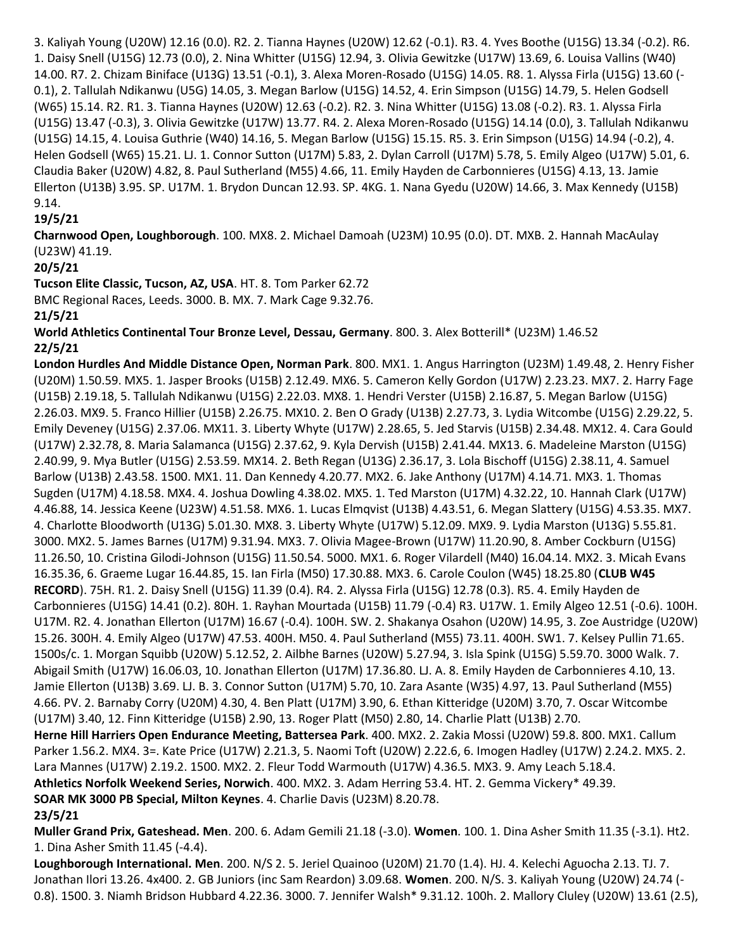3. Kaliyah Young (U20W) 12.16 (0.0). R2. 2. Tianna Haynes (U20W) 12.62 (-0.1). R3. 4. Yves Boothe (U15G) 13.34 (-0.2). R6. 1. Daisy Snell (U15G) 12.73 (0.0), 2. Nina Whitter (U15G) 12.94, 3. Olivia Gewitzke (U17W) 13.69, 6. Louisa Vallins (W40) 14.00. R7. 2. Chizam Biniface (U13G) 13.51 (-0.1), 3. Alexa Moren-Rosado (U15G) 14.05. R8. 1. Alyssa Firla (U15G) 13.60 (- 0.1), 2. Tallulah Ndikanwu (U5G) 14.05, 3. Megan Barlow (U15G) 14.52, 4. Erin Simpson (U15G) 14.79, 5. Helen Godsell (W65) 15.14. R2. R1. 3. Tianna Haynes (U20W) 12.63 (-0.2). R2. 3. Nina Whitter (U15G) 13.08 (-0.2). R3. 1. Alyssa Firla (U15G) 13.47 (-0.3), 3. Olivia Gewitzke (U17W) 13.77. R4. 2. Alexa Moren-Rosado (U15G) 14.14 (0.0), 3. Tallulah Ndikanwu (U15G) 14.15, 4. Louisa Guthrie (W40) 14.16, 5. Megan Barlow (U15G) 15.15. R5. 3. Erin Simpson (U15G) 14.94 (-0.2), 4. Helen Godsell (W65) 15.21. LJ. 1. Connor Sutton (U17M) 5.83, 2. Dylan Carroll (U17M) 5.78, 5. Emily Algeo (U17W) 5.01, 6. Claudia Baker (U20W) 4.82, 8. Paul Sutherland (M55) 4.66, 11. Emily Hayden de Carbonnieres (U15G) 4.13, 13. Jamie Ellerton (U13B) 3.95. SP. U17M. 1. Brydon Duncan 12.93. SP. 4KG. 1. Nana Gyedu (U20W) 14.66, 3. Max Kennedy (U15B) 9.14.

# **19/5/21**

**Charnwood Open, Loughborough**. 100. MX8. 2. Michael Damoah (U23M) 10.95 (0.0). DT. MXB. 2. Hannah MacAulay (U23W) 41.19.

#### **20/5/21**

**Tucson Elite Classic, Tucson, AZ, USA**. HT. 8. Tom Parker 62.72

BMC Regional Races, Leeds. 3000. B. MX. 7. Mark Cage 9.32.76.

**21/5/21**

**World Athletics Continental Tour Bronze Level, Dessau, Germany**. 800. 3. Alex Botterill\* (U23M) 1.46.52 **22/5/21**

**London Hurdles And Middle Distance Open, Norman Park**. 800. MX1. 1. Angus Harrington (U23M) 1.49.48, 2. Henry Fisher (U20M) 1.50.59. MX5. 1. Jasper Brooks (U15B) 2.12.49. MX6. 5. Cameron Kelly Gordon (U17W) 2.23.23. MX7. 2. Harry Fage (U15B) 2.19.18, 5. Tallulah Ndikanwu (U15G) 2.22.03. MX8. 1. Hendri Verster (U15B) 2.16.87, 5. Megan Barlow (U15G) 2.26.03. MX9. 5. Franco Hillier (U15B) 2.26.75. MX10. 2. Ben O Grady (U13B) 2.27.73, 3. Lydia Witcombe (U15G) 2.29.22, 5. Emily Deveney (U15G) 2.37.06. MX11. 3. Liberty Whyte (U17W) 2.28.65, 5. Jed Starvis (U15B) 2.34.48. MX12. 4. Cara Gould (U17W) 2.32.78, 8. Maria Salamanca (U15G) 2.37.62, 9. Kyla Dervish (U15B) 2.41.44. MX13. 6. Madeleine Marston (U15G) 2.40.99, 9. Mya Butler (U15G) 2.53.59. MX14. 2. Beth Regan (U13G) 2.36.17, 3. Lola Bischoff (U15G) 2.38.11, 4. Samuel Barlow (U13B) 2.43.58. 1500. MX1. 11. Dan Kennedy 4.20.77. MX2. 6. Jake Anthony (U17M) 4.14.71. MX3. 1. Thomas Sugden (U17M) 4.18.58. MX4. 4. Joshua Dowling 4.38.02. MX5. 1. Ted Marston (U17M) 4.32.22, 10. Hannah Clark (U17W) 4.46.88, 14. Jessica Keene (U23W) 4.51.58. MX6. 1. Lucas Elmqvist (U13B) 4.43.51, 6. Megan Slattery (U15G) 4.53.35. MX7. 4. Charlotte Bloodworth (U13G) 5.01.30. MX8. 3. Liberty Whyte (U17W) 5.12.09. MX9. 9. Lydia Marston (U13G) 5.55.81. 3000. MX2. 5. James Barnes (U17M) 9.31.94. MX3. 7. Olivia Magee-Brown (U17W) 11.20.90, 8. Amber Cockburn (U15G) 11.26.50, 10. Cristina Gilodi-Johnson (U15G) 11.50.54. 5000. MX1. 6. Roger Vilardell (M40) 16.04.14. MX2. 3. Micah Evans 16.35.36, 6. Graeme Lugar 16.44.85, 15. Ian Firla (M50) 17.30.88. MX3. 6. Carole Coulon (W45) 18.25.80 (**CLUB W45 RECORD**). 75H. R1. 2. Daisy Snell (U15G) 11.39 (0.4). R4. 2. Alyssa Firla (U15G) 12.78 (0.3). R5. 4. Emily Hayden de Carbonnieres (U15G) 14.41 (0.2). 80H. 1. Rayhan Mourtada (U15B) 11.79 (-0.4) R3. U17W. 1. Emily Algeo 12.51 (-0.6). 100H. U17M. R2. 4. Jonathan Ellerton (U17M) 16.67 (-0.4). 100H. SW. 2. Shakanya Osahon (U20W) 14.95, 3. Zoe Austridge (U20W) 15.26. 300H. 4. Emily Algeo (U17W) 47.53. 400H. M50. 4. Paul Sutherland (M55) 73.11. 400H. SW1. 7. Kelsey Pullin 71.65. 1500s/c. 1. Morgan Squibb (U20W) 5.12.52, 2. Ailbhe Barnes (U20W) 5.27.94, 3. Isla Spink (U15G) 5.59.70. 3000 Walk. 7. Abigail Smith (U17W) 16.06.03, 10. Jonathan Ellerton (U17M) 17.36.80. LJ. A. 8. Emily Hayden de Carbonnieres 4.10, 13. Jamie Ellerton (U13B) 3.69. LJ. B. 3. Connor Sutton (U17M) 5.70, 10. Zara Asante (W35) 4.97, 13. Paul Sutherland (M55) 4.66. PV. 2. Barnaby Corry (U20M) 4.30, 4. Ben Platt (U17M) 3.90, 6. Ethan Kitteridge (U20M) 3.70, 7. Oscar Witcombe (U17M) 3.40, 12. Finn Kitteridge (U15B) 2.90, 13. Roger Platt (M50) 2.80, 14. Charlie Platt (U13B) 2.70. **Herne Hill Harriers Open Endurance Meeting, Battersea Park**. 400. MX2. 2. Zakia Mossi (U20W) 59.8. 800. MX1. Callum Parker 1.56.2. MX4. 3=. Kate Price (U17W) 2.21.3, 5. Naomi Toft (U20W) 2.22.6, 6. Imogen Hadley (U17W) 2.24.2. MX5. 2. Lara Mannes (U17W) 2.19.2. 1500. MX2. 2. Fleur Todd Warmouth (U17W) 4.36.5. MX3. 9. Amy Leach 5.18.4. **Athletics Norfolk Weekend Series, Norwich**. 400. MX2. 3. Adam Herring 53.4. HT. 2. Gemma Vickery\* 49.39. **SOAR MK 3000 PB Special, Milton Keynes**. 4. Charlie Davis (U23M) 8.20.78. **23/5/21**

**Muller Grand Prix, Gateshead. Men**. 200. 6. Adam Gemili 21.18 (-3.0). **Women**. 100. 1. Dina Asher Smith 11.35 (-3.1). Ht2. 1. Dina Asher Smith 11.45 (-4.4).

**Loughborough International. Men**. 200. N/S 2. 5. Jeriel Quainoo (U20M) 21.70 (1.4). HJ. 4. Kelechi Aguocha 2.13. TJ. 7. Jonathan Ilori 13.26. 4x400. 2. GB Juniors (inc Sam Reardon) 3.09.68. **Women**. 200. N/S. 3. Kaliyah Young (U20W) 24.74 (- 0.8). 1500. 3. Niamh Bridson Hubbard 4.22.36. 3000. 7. Jennifer Walsh\* 9.31.12. 100h. 2. Mallory Cluley (U20W) 13.61 (2.5),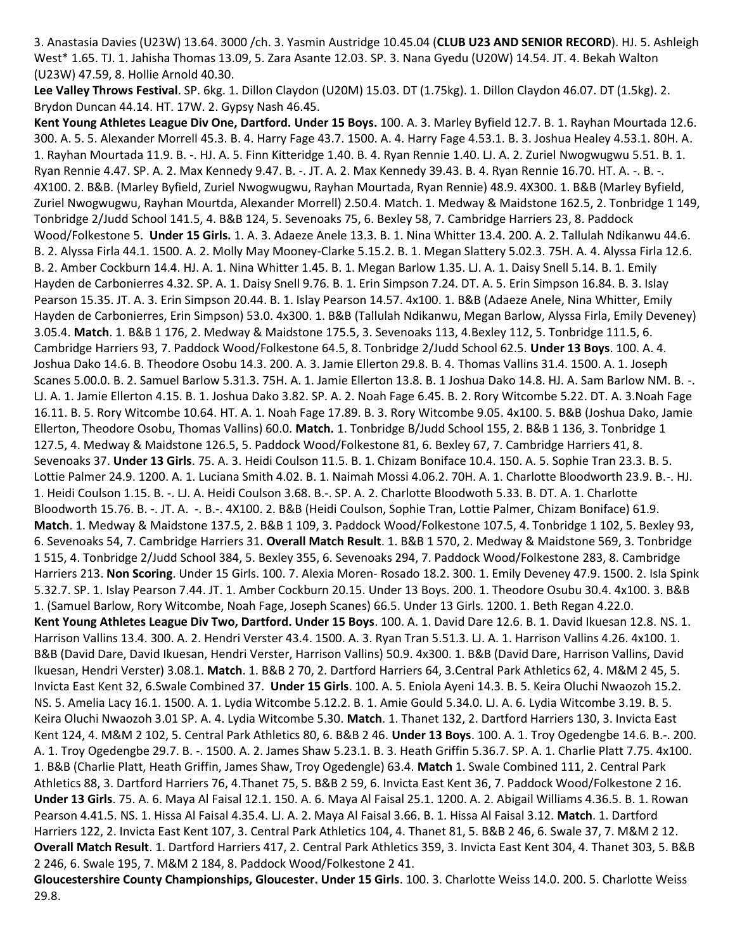3. Anastasia Davies (U23W) 13.64. 3000 /ch. 3. Yasmin Austridge 10.45.04 (**CLUB U23 AND SENIOR RECORD**). HJ. 5. Ashleigh West\* 1.65. TJ. 1. Jahisha Thomas 13.09, 5. Zara Asante 12.03. SP. 3. Nana Gyedu (U20W) 14.54. JT. 4. Bekah Walton (U23W) 47.59, 8. Hollie Arnold 40.30.

**Lee Valley Throws Festival**. SP. 6kg. 1. Dillon Claydon (U20M) 15.03. DT (1.75kg). 1. Dillon Claydon 46.07. DT (1.5kg). 2. Brydon Duncan 44.14. HT. 17W. 2. Gypsy Nash 46.45.

**Kent Young Athletes League Div One, Dartford. Under 15 Boys.** 100. A. 3. Marley Byfield 12.7. B. 1. Rayhan Mourtada 12.6. 300. A. 5. 5. Alexander Morrell 45.3. B. 4. Harry Fage 43.7. 1500. A. 4. Harry Fage 4.53.1. B. 3. Joshua Healey 4.53.1. 80H. A. 1. Rayhan Mourtada 11.9. B. -. HJ. A. 5. Finn Kitteridge 1.40. B. 4. Ryan Rennie 1.40. LJ. A. 2. Zuriel Nwogwugwu 5.51. B. 1. Ryan Rennie 4.47. SP. A. 2. Max Kennedy 9.47. B. -. JT. A. 2. Max Kennedy 39.43. B. 4. Ryan Rennie 16.70. HT. A. -. B. -. 4X100. 2. B&B. (Marley Byfield, Zuriel Nwogwugwu, Rayhan Mourtada, Ryan Rennie) 48.9. 4X300. 1. B&B (Marley Byfield, Zuriel Nwogwugwu, Rayhan Mourtda, Alexander Morrell) 2.50.4. Match. 1. Medway & Maidstone 162.5, 2. Tonbridge 1 149, Tonbridge 2/Judd School 141.5, 4. B&B 124, 5. Sevenoaks 75, 6. Bexley 58, 7. Cambridge Harriers 23, 8. Paddock Wood/Folkestone 5. **Under 15 Girls.** 1. A. 3. Adaeze Anele 13.3. B. 1. Nina Whitter 13.4. 200. A. 2. Tallulah Ndikanwu 44.6. B. 2. Alyssa Firla 44.1. 1500. A. 2. Molly May Mooney-Clarke 5.15.2. B. 1. Megan Slattery 5.02.3. 75H. A. 4. Alyssa Firla 12.6. B. 2. Amber Cockburn 14.4. HJ. A. 1. Nina Whitter 1.45. B. 1. Megan Barlow 1.35. LJ. A. 1. Daisy Snell 5.14. B. 1. Emily Hayden de Carbonierres 4.32. SP. A. 1. Daisy Snell 9.76. B. 1. Erin Simpson 7.24. DT. A. 5. Erin Simpson 16.84. B. 3. Islay Pearson 15.35. JT. A. 3. Erin Simpson 20.44. B. 1. Islay Pearson 14.57. 4x100. 1. B&B (Adaeze Anele, Nina Whitter, Emily Hayden de Carbonierres, Erin Simpson) 53.0. 4x300. 1. B&B (Tallulah Ndikanwu, Megan Barlow, Alyssa Firla, Emily Deveney) 3.05.4. **Match**. 1. B&B 1 176, 2. Medway & Maidstone 175.5, 3. Sevenoaks 113, 4.Bexley 112, 5. Tonbridge 111.5, 6. Cambridge Harriers 93, 7. Paddock Wood/Folkestone 64.5, 8. Tonbridge 2/Judd School 62.5. **Under 13 Boys**. 100. A. 4. Joshua Dako 14.6. B. Theodore Osobu 14.3. 200. A. 3. Jamie Ellerton 29.8. B. 4. Thomas Vallins 31.4. 1500. A. 1. Joseph Scanes 5.00.0. B. 2. Samuel Barlow 5.31.3. 75H. A. 1. Jamie Ellerton 13.8. B. 1 Joshua Dako 14.8. HJ. A. Sam Barlow NM. B. -. LJ. A. 1. Jamie Ellerton 4.15. B. 1. Joshua Dako 3.82. SP. A. 2. Noah Fage 6.45. B. 2. Rory Witcombe 5.22. DT. A. 3.Noah Fage 16.11. B. 5. Rory Witcombe 10.64. HT. A. 1. Noah Fage 17.89. B. 3. Rory Witcombe 9.05. 4x100. 5. B&B (Joshua Dako, Jamie Ellerton, Theodore Osobu, Thomas Vallins) 60.0. **Match.** 1. Tonbridge B/Judd School 155, 2. B&B 1 136, 3. Tonbridge 1 127.5, 4. Medway & Maidstone 126.5, 5. Paddock Wood/Folkestone 81, 6. Bexley 67, 7. Cambridge Harriers 41, 8. Sevenoaks 37. **Under 13 Girls**. 75. A. 3. Heidi Coulson 11.5. B. 1. Chizam Boniface 10.4. 150. A. 5. Sophie Tran 23.3. B. 5. Lottie Palmer 24.9. 1200. A. 1. Luciana Smith 4.02. B. 1. Naimah Mossi 4.06.2. 70H. A. 1. Charlotte Bloodworth 23.9. B.-. HJ. 1. Heidi Coulson 1.15. B. -. LJ. A. Heidi Coulson 3.68. B.-. SP. A. 2. Charlotte Bloodwoth 5.33. B. DT. A. 1. Charlotte Bloodworth 15.76. B. -. JT. A. -. B.-. 4X100. 2. B&B (Heidi Coulson, Sophie Tran, Lottie Palmer, Chizam Boniface) 61.9. **Match**. 1. Medway & Maidstone 137.5, 2. B&B 1 109, 3. Paddock Wood/Folkestone 107.5, 4. Tonbridge 1 102, 5. Bexley 93, 6. Sevenoaks 54, 7. Cambridge Harriers 31. **Overall Match Result**. 1. B&B 1 570, 2. Medway & Maidstone 569, 3. Tonbridge 1 515, 4. Tonbridge 2/Judd School 384, 5. Bexley 355, 6. Sevenoaks 294, 7. Paddock Wood/Folkestone 283, 8. Cambridge Harriers 213. **Non Scoring**. Under 15 Girls. 100. 7. Alexia Moren- Rosado 18.2. 300. 1. Emily Deveney 47.9. 1500. 2. Isla Spink 5.32.7. SP. 1. Islay Pearson 7.44. JT. 1. Amber Cockburn 20.15. Under 13 Boys. 200. 1. Theodore Osubu 30.4. 4x100. 3. B&B 1. (Samuel Barlow, Rory Witcombe, Noah Fage, Joseph Scanes) 66.5. Under 13 Girls. 1200. 1. Beth Regan 4.22.0. **Kent Young Athletes League Div Two, Dartford. Under 15 Boys**. 100. A. 1. David Dare 12.6. B. 1. David Ikuesan 12.8. NS. 1. Harrison Vallins 13.4. 300. A. 2. Hendri Verster 43.4. 1500. A. 3. Ryan Tran 5.51.3. LJ. A. 1. Harrison Vallins 4.26. 4x100. 1. B&B (David Dare, David Ikuesan, Hendri Verster, Harrison Vallins) 50.9. 4x300. 1. B&B (David Dare, Harrison Vallins, David Ikuesan, Hendri Verster) 3.08.1. **Match**. 1. B&B 2 70, 2. Dartford Harriers 64, 3.Central Park Athletics 62, 4. M&M 2 45, 5. Invicta East Kent 32, 6.Swale Combined 37. **Under 15 Girls**. 100. A. 5. Eniola Ayeni 14.3. B. 5. Keira Oluchi Nwaozoh 15.2. NS. 5. Amelia Lacy 16.1. 1500. A. 1. Lydia Witcombe 5.12.2. B. 1. Amie Gould 5.34.0. LJ. A. 6. Lydia Witcombe 3.19. B. 5. Keira Oluchi Nwaozoh 3.01 SP. A. 4. Lydia Witcombe 5.30. **Match**. 1. Thanet 132, 2. Dartford Harriers 130, 3. Invicta East Kent 124, 4. M&M 2 102, 5. Central Park Athletics 80, 6. B&B 2 46. **Under 13 Boys**. 100. A. 1. Troy Ogedengbe 14.6. B.-. 200. A. 1. Troy Ogedengbe 29.7. B. -. 1500. A. 2. James Shaw 5.23.1. B. 3. Heath Griffin 5.36.7. SP. A. 1. Charlie Platt 7.75. 4x100. 1. B&B (Charlie Platt, Heath Griffin, James Shaw, Troy Ogedengle) 63.4. **Match** 1. Swale Combined 111, 2. Central Park Athletics 88, 3. Dartford Harriers 76, 4.Thanet 75, 5. B&B 2 59, 6. Invicta East Kent 36, 7. Paddock Wood/Folkestone 2 16. **Under 13 Girls**. 75. A. 6. Maya Al Faisal 12.1. 150. A. 6. Maya Al Faisal 25.1. 1200. A. 2. Abigail Williams 4.36.5. B. 1. Rowan Pearson 4.41.5. NS. 1. Hissa Al Faisal 4.35.4. LJ. A. 2. Maya Al Faisal 3.66. B. 1. Hissa Al Faisal 3.12. **Match**. 1. Dartford Harriers 122, 2. Invicta East Kent 107, 3. Central Park Athletics 104, 4. Thanet 81, 5. B&B 2 46, 6. Swale 37, 7. M&M 2 12. **Overall Match Result**. 1. Dartford Harriers 417, 2. Central Park Athletics 359, 3. Invicta East Kent 304, 4. Thanet 303, 5. B&B 2 246, 6. Swale 195, 7. M&M 2 184, 8. Paddock Wood/Folkestone 2 41. **Gloucestershire County Championships, Gloucester. Under 15 Girls**. 100. 3. Charlotte Weiss 14.0. 200. 5. Charlotte Weiss

29.8.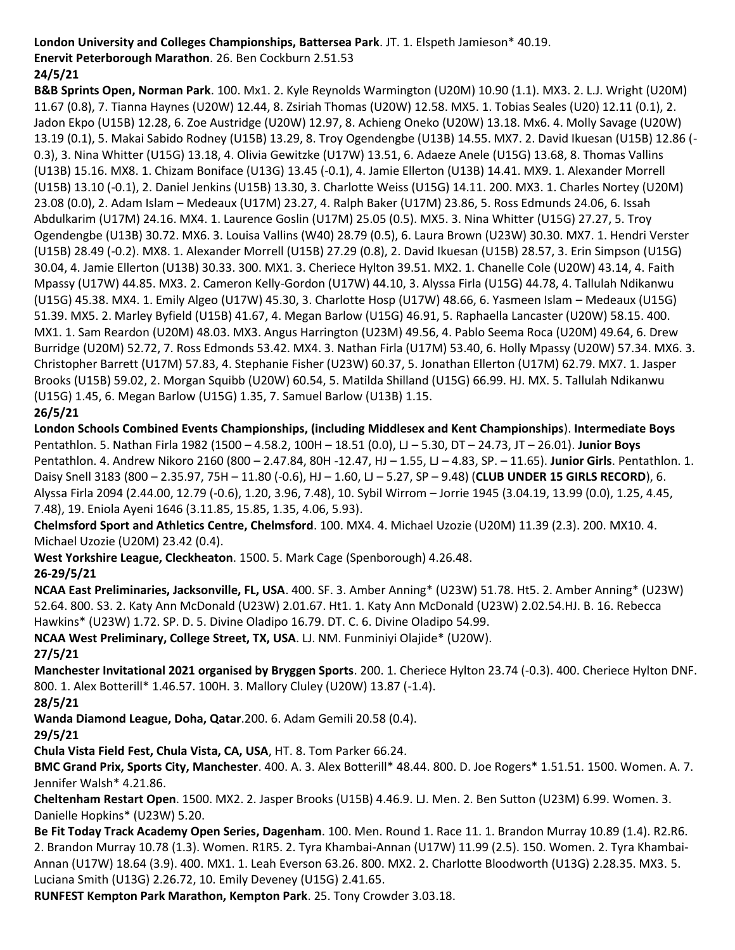#### **London University and Colleges Championships, Battersea Park**. JT. 1. Elspeth Jamieson\* 40.19.

**Enervit Peterborough Marathon**. 26. Ben Cockburn 2.51.53

# **24/5/21**

**B&B Sprints Open, Norman Park**. 100. Mx1. 2. Kyle Reynolds Warmington (U20M) 10.90 (1.1). MX3. 2. L.J. Wright (U20M) 11.67 (0.8), 7. Tianna Haynes (U20W) 12.44, 8. Zsiriah Thomas (U20W) 12.58. MX5. 1. Tobias Seales (U20) 12.11 (0.1), 2. Jadon Ekpo (U15B) 12.28, 6. Zoe Austridge (U20W) 12.97, 8. Achieng Oneko (U20W) 13.18. Mx6. 4. Molly Savage (U20W) 13.19 (0.1), 5. Makai Sabido Rodney (U15B) 13.29, 8. Troy Ogendengbe (U13B) 14.55. MX7. 2. David Ikuesan (U15B) 12.86 (- 0.3), 3. Nina Whitter (U15G) 13.18, 4. Olivia Gewitzke (U17W) 13.51, 6. Adaeze Anele (U15G) 13.68, 8. Thomas Vallins (U13B) 15.16. MX8. 1. Chizam Boniface (U13G) 13.45 (-0.1), 4. Jamie Ellerton (U13B) 14.41. MX9. 1. Alexander Morrell (U15B) 13.10 (-0.1), 2. Daniel Jenkins (U15B) 13.30, 3. Charlotte Weiss (U15G) 14.11. 200. MX3. 1. Charles Nortey (U20M) 23.08 (0.0), 2. Adam Islam – Medeaux (U17M) 23.27, 4. Ralph Baker (U17M) 23.86, 5. Ross Edmunds 24.06, 6. Issah Abdulkarim (U17M) 24.16. MX4. 1. Laurence Goslin (U17M) 25.05 (0.5). MX5. 3. Nina Whitter (U15G) 27.27, 5. Troy Ogendengbe (U13B) 30.72. MX6. 3. Louisa Vallins (W40) 28.79 (0.5), 6. Laura Brown (U23W) 30.30. MX7. 1. Hendri Verster (U15B) 28.49 (-0.2). MX8. 1. Alexander Morrell (U15B) 27.29 (0.8), 2. David Ikuesan (U15B) 28.57, 3. Erin Simpson (U15G) 30.04, 4. Jamie Ellerton (U13B) 30.33. 300. MX1. 3. Cheriece Hylton 39.51. MX2. 1. Chanelle Cole (U20W) 43.14, 4. Faith Mpassy (U17W) 44.85. MX3. 2. Cameron Kelly-Gordon (U17W) 44.10, 3. Alyssa Firla (U15G) 44.78, 4. Tallulah Ndikanwu (U15G) 45.38. MX4. 1. Emily Algeo (U17W) 45.30, 3. Charlotte Hosp (U17W) 48.66, 6. Yasmeen Islam – Medeaux (U15G) 51.39. MX5. 2. Marley Byfield (U15B) 41.67, 4. Megan Barlow (U15G) 46.91, 5. Raphaella Lancaster (U20W) 58.15. 400. MX1. 1. Sam Reardon (U20M) 48.03. MX3. Angus Harrington (U23M) 49.56, 4. Pablo Seema Roca (U20M) 49.64, 6. Drew Burridge (U20M) 52.72, 7. Ross Edmonds 53.42. MX4. 3. Nathan Firla (U17M) 53.40, 6. Holly Mpassy (U20W) 57.34. MX6. 3. Christopher Barrett (U17M) 57.83, 4. Stephanie Fisher (U23W) 60.37, 5. Jonathan Ellerton (U17M) 62.79. MX7. 1. Jasper Brooks (U15B) 59.02, 2. Morgan Squibb (U20W) 60.54, 5. Matilda Shilland (U15G) 66.99. HJ. MX. 5. Tallulah Ndikanwu (U15G) 1.45, 6. Megan Barlow (U15G) 1.35, 7. Samuel Barlow (U13B) 1.15. **26/5/21**

**London Schools Combined Events Championships, (including Middlesex and Kent Championships**). **Intermediate Boys** Pentathlon. 5. Nathan Firla 1982 (1500 – 4.58.2, 100H – 18.51 (0.0), LJ – 5.30, DT – 24.73, JT – 26.01). **Junior Boys** Pentathlon. 4. Andrew Nikoro 2160 (800 – 2.47.84, 80H -12.47, HJ – 1.55, LJ – 4.83, SP. – 11.65). **Junior Girls**. Pentathlon. 1. Daisy Snell 3183 (800 – 2.35.97, 75H – 11.80 (-0.6), HJ – 1.60, LJ – 5.27, SP – 9.48) (**CLUB UNDER 15 GIRLS RECORD**), 6. Alyssa Firla 2094 (2.44.00, 12.79 (-0.6), 1.20, 3.96, 7.48), 10. Sybil Wirrom – Jorrie 1945 (3.04.19, 13.99 (0.0), 1.25, 4.45, 7.48), 19. Eniola Ayeni 1646 (3.11.85, 15.85, 1.35, 4.06, 5.93).

**Chelmsford Sport and Athletics Centre, Chelmsford**. 100. MX4. 4. Michael Uzozie (U20M) 11.39 (2.3). 200. MX10. 4. Michael Uzozie (U20M) 23.42 (0.4).

**West Yorkshire League, Cleckheaton**. 1500. 5. Mark Cage (Spenborough) 4.26.48. **26-29/5/21**

**NCAA East Preliminaries, Jacksonville, FL, USA**. 400. SF. 3. Amber Anning\* (U23W) 51.78. Ht5. 2. Amber Anning\* (U23W) 52.64. 800. S3. 2. Katy Ann McDonald (U23W) 2.01.67. Ht1. 1. Katy Ann McDonald (U23W) 2.02.54.HJ. B. 16. Rebecca Hawkins\* (U23W) 1.72. SP. D. 5. Divine Oladipo 16.79. DT. C. 6. Divine Oladipo 54.99.

**NCAA West Preliminary, College Street, TX, USA**. LJ. NM. Funminiyi Olajide\* (U20W).

#### **27/5/21**

**Manchester Invitational 2021 organised by Bryggen Sports**. 200. 1. Cheriece Hylton 23.74 (-0.3). 400. Cheriece Hylton DNF. 800. 1. Alex Botterill\* 1.46.57. 100H. 3. Mallory Cluley (U20W) 13.87 (-1.4).

**28/5/21**

**Wanda Diamond League, Doha, Qatar**.200. 6. Adam Gemili 20.58 (0.4).

# **29/5/21**

**Chula Vista Field Fest, Chula Vista, CA, USA**, HT. 8. Tom Parker 66.24.

**BMC Grand Prix, Sports City, Manchester**. 400. A. 3. Alex Botterill\* 48.44. 800. D. Joe Rogers\* 1.51.51. 1500. Women. A. 7. Jennifer Walsh\* 4.21.86.

**Cheltenham Restart Open**. 1500. MX2. 2. Jasper Brooks (U15B) 4.46.9. LJ. Men. 2. Ben Sutton (U23M) 6.99. Women. 3. Danielle Hopkins\* (U23W) 5.20.

**Be Fit Today Track Academy Open Series, Dagenham**. 100. Men. Round 1. Race 11. 1. Brandon Murray 10.89 (1.4). R2.R6. 2. Brandon Murray 10.78 (1.3). Women. R1R5. 2. Tyra Khambai-Annan (U17W) 11.99 (2.5). 150. Women. 2. Tyra Khambai-Annan (U17W) 18.64 (3.9). 400. MX1. 1. Leah Everson 63.26. 800. MX2. 2. Charlotte Bloodworth (U13G) 2.28.35. MX3. 5. Luciana Smith (U13G) 2.26.72, 10. Emily Deveney (U15G) 2.41.65.

**RUNFEST Kempton Park Marathon, Kempton Park**. 25. Tony Crowder 3.03.18.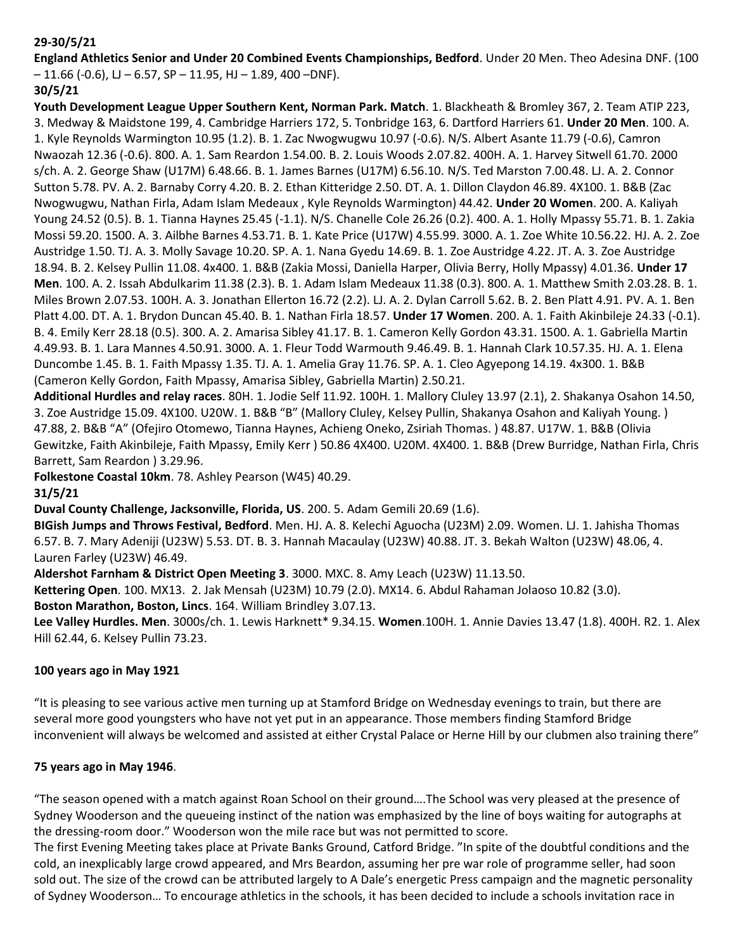# **29-30/5/21**

**England Athletics Senior and Under 20 Combined Events Championships, Bedford**. Under 20 Men. Theo Adesina DNF. (100  $-11.66$  (-0.6), LJ – 6.57, SP – 11.95, HJ – 1.89, 400 –DNF).

# **30/5/21**

**Youth Development League Upper Southern Kent, Norman Park. Match**. 1. Blackheath & Bromley 367, 2. Team ATIP 223, 3. Medway & Maidstone 199, 4. Cambridge Harriers 172, 5. Tonbridge 163, 6. Dartford Harriers 61. **Under 20 Men**. 100. A. 1. Kyle Reynolds Warmington 10.95 (1.2). B. 1. Zac Nwogwugwu 10.97 (-0.6). N/S. Albert Asante 11.79 (-0.6), Camron Nwaozah 12.36 (-0.6). 800. A. 1. Sam Reardon 1.54.00. B. 2. Louis Woods 2.07.82. 400H. A. 1. Harvey Sitwell 61.70. 2000 s/ch. A. 2. George Shaw (U17M) 6.48.66. B. 1. James Barnes (U17M) 6.56.10. N/S. Ted Marston 7.00.48. LJ. A. 2. Connor Sutton 5.78. PV. A. 2. Barnaby Corry 4.20. B. 2. Ethan Kitteridge 2.50. DT. A. 1. Dillon Claydon 46.89. 4X100. 1. B&B (Zac Nwogwugwu, Nathan Firla, Adam Islam Medeaux , Kyle Reynolds Warmington) 44.42. **Under 20 Women**. 200. A. Kaliyah Young 24.52 (0.5). B. 1. Tianna Haynes 25.45 (-1.1). N/S. Chanelle Cole 26.26 (0.2). 400. A. 1. Holly Mpassy 55.71. B. 1. Zakia Mossi 59.20. 1500. A. 3. Ailbhe Barnes 4.53.71. B. 1. Kate Price (U17W) 4.55.99. 3000. A. 1. Zoe White 10.56.22. HJ. A. 2. Zoe Austridge 1.50. TJ. A. 3. Molly Savage 10.20. SP. A. 1. Nana Gyedu 14.69. B. 1. Zoe Austridge 4.22. JT. A. 3. Zoe Austridge 18.94. B. 2. Kelsey Pullin 11.08. 4x400. 1. B&B (Zakia Mossi, Daniella Harper, Olivia Berry, Holly Mpassy) 4.01.36. **Under 17 Men**. 100. A. 2. Issah Abdulkarim 11.38 (2.3). B. 1. Adam Islam Medeaux 11.38 (0.3). 800. A. 1. Matthew Smith 2.03.28. B. 1. Miles Brown 2.07.53. 100H. A. 3. Jonathan Ellerton 16.72 (2.2). LJ. A. 2. Dylan Carroll 5.62. B. 2. Ben Platt 4.91. PV. A. 1. Ben Platt 4.00. DT. A. 1. Brydon Duncan 45.40. B. 1. Nathan Firla 18.57. **Under 17 Women**. 200. A. 1. Faith Akinbileje 24.33 (-0.1). B. 4. Emily Kerr 28.18 (0.5). 300. A. 2. Amarisa Sibley 41.17. B. 1. Cameron Kelly Gordon 43.31. 1500. A. 1. Gabriella Martin 4.49.93. B. 1. Lara Mannes 4.50.91. 3000. A. 1. Fleur Todd Warmouth 9.46.49. B. 1. Hannah Clark 10.57.35. HJ. A. 1. Elena Duncombe 1.45. B. 1. Faith Mpassy 1.35. TJ. A. 1. Amelia Gray 11.76. SP. A. 1. Cleo Agyepong 14.19. 4x300. 1. B&B (Cameron Kelly Gordon, Faith Mpassy, Amarisa Sibley, Gabriella Martin) 2.50.21.

**Additional Hurdles and relay races**. 80H. 1. Jodie Self 11.92. 100H. 1. Mallory Cluley 13.97 (2.1), 2. Shakanya Osahon 14.50, 3. Zoe Austridge 15.09. 4X100. U20W. 1. B&B "B" (Mallory Cluley, Kelsey Pullin, Shakanya Osahon and Kaliyah Young. ) 47.88, 2. B&B "A" (Ofejiro Otomewo, Tianna Haynes, Achieng Oneko, Zsiriah Thomas. ) 48.87. U17W. 1. B&B (Olivia Gewitzke, Faith Akinbileje, Faith Mpassy, Emily Kerr ) 50.86 4X400. U20M. 4X400. 1. B&B (Drew Burridge, Nathan Firla, Chris Barrett, Sam Reardon ) 3.29.96.

**Folkestone Coastal 10km**. 78. Ashley Pearson (W45) 40.29.

#### **31/5/21**

**Duval County Challenge, Jacksonville, Florida, US**. 200. 5. Adam Gemili 20.69 (1.6).

**BIGish Jumps and Throws Festival, Bedford**. Men. HJ. A. 8. Kelechi Aguocha (U23M) 2.09. Women. LJ. 1. Jahisha Thomas 6.57. B. 7. Mary Adeniji (U23W) 5.53. DT. B. 3. Hannah Macaulay (U23W) 40.88. JT. 3. Bekah Walton (U23W) 48.06, 4. Lauren Farley (U23W) 46.49.

**Aldershot Farnham & District Open Meeting 3**. 3000. MXC. 8. Amy Leach (U23W) 11.13.50.

**Kettering Open**. 100. MX13. 2. Jak Mensah (U23M) 10.79 (2.0). MX14. 6. Abdul Rahaman Jolaoso 10.82 (3.0).

**Boston Marathon, Boston, Lincs**. 164. William Brindley 3.07.13.

**Lee Valley Hurdles. Men**. 3000s/ch. 1. Lewis Harknett\* 9.34.15. **Women**.100H. 1. Annie Davies 13.47 (1.8). 400H. R2. 1. Alex Hill 62.44, 6. Kelsey Pullin 73.23.

#### **100 years ago in May 1921**

"It is pleasing to see various active men turning up at Stamford Bridge on Wednesday evenings to train, but there are several more good youngsters who have not yet put in an appearance. Those members finding Stamford Bridge inconvenient will always be welcomed and assisted at either Crystal Palace or Herne Hill by our clubmen also training there"

#### **75 years ago in May 1946**.

"The season opened with a match against Roan School on their ground….The School was very pleased at the presence of Sydney Wooderson and the queueing instinct of the nation was emphasized by the line of boys waiting for autographs at the dressing-room door." Wooderson won the mile race but was not permitted to score.

The first Evening Meeting takes place at Private Banks Ground, Catford Bridge. "In spite of the doubtful conditions and the cold, an inexplicably large crowd appeared, and Mrs Beardon, assuming her pre war role of programme seller, had soon sold out. The size of the crowd can be attributed largely to A Dale's energetic Press campaign and the magnetic personality of Sydney Wooderson… To encourage athletics in the schools, it has been decided to include a schools invitation race in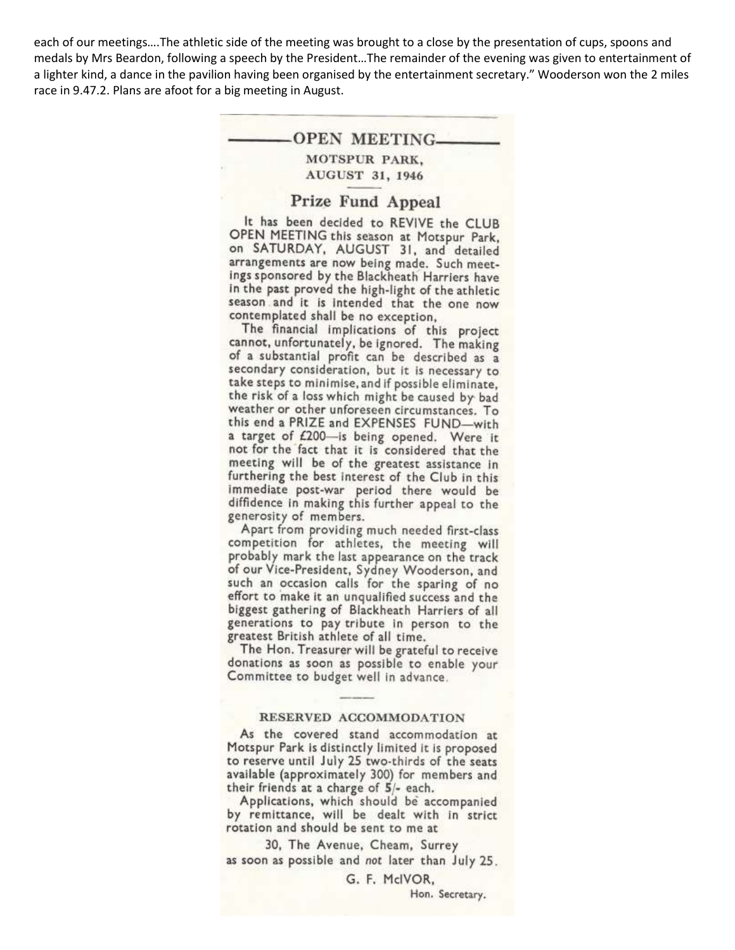each of our meetings….The athletic side of the meeting was brought to a close by the presentation of cups, spoons and medals by Mrs Beardon, following a speech by the President…The remainder of the evening was given to entertainment of a lighter kind, a dance in the pavilion having been organised by the entertainment secretary." Wooderson won the 2 miles race in 9.47.2. Plans are afoot for a big meeting in August.

# -OPEN MEETING MOTSPUR PARK,

AUGUST 31, 1946

#### Prize Fund Appeal

It has been decided to REVIVE the CLUB OPEN MEETING this season at Motspur Park, on SATURDAY, AUGUST 31, and detailed arrangements are now being made. Such meetings sponsored by the Blackheath Harriers have in the past proved the high-light of the athletic season and it is intended that the one now contemplated shall be no exception,

The financial implications of this project cannot, unfortunately, be ignored. The making of a substantial profit can be described as a secondary consideration, but it is necessary to take steps to minimise, and if possible eliminate, the risk of a loss which might be caused by bad weather or other unforeseen circumstances. To this end a PRIZE and EXPENSES FUND-with a target of £200-is being opened. Were it not for the fact that it is considered that the meeting will be of the greatest assistance in furthering the best interest of the Club in this immediate post-war period there would be diffidence in making this further appeal to the generosity of members.

Apart from providing much needed first-class competition for athletes, the meeting will probably mark the last appearance on the track of our Vice-President, Sydney Wooderson, and such an occasion calls for the sparing of no effort to make it an unqualified success and the biggest gathering of Blackheath Harriers of all generations to pay tribute in person to the greatest British athlete of all time.

The Hon. Treasurer will be grateful to receive donations as soon as possible to enable your Committee to budget well in advance.

#### RESERVED ACCOMMODATION

As the covered stand accommodation at Motspur Park is distinctly limited it is proposed to reserve until July 25 two-thirds of the seats available (approximately 300) for members and their friends at a charge of  $5/-$  each.

Applications, which should be accompanied by remittance, will be dealt with in strict rotation and should be sent to me at

30, The Avenue, Cheam, Surrey as soon as possible and not later than July 25.

> G. F. McIVOR, Hon. Secretary.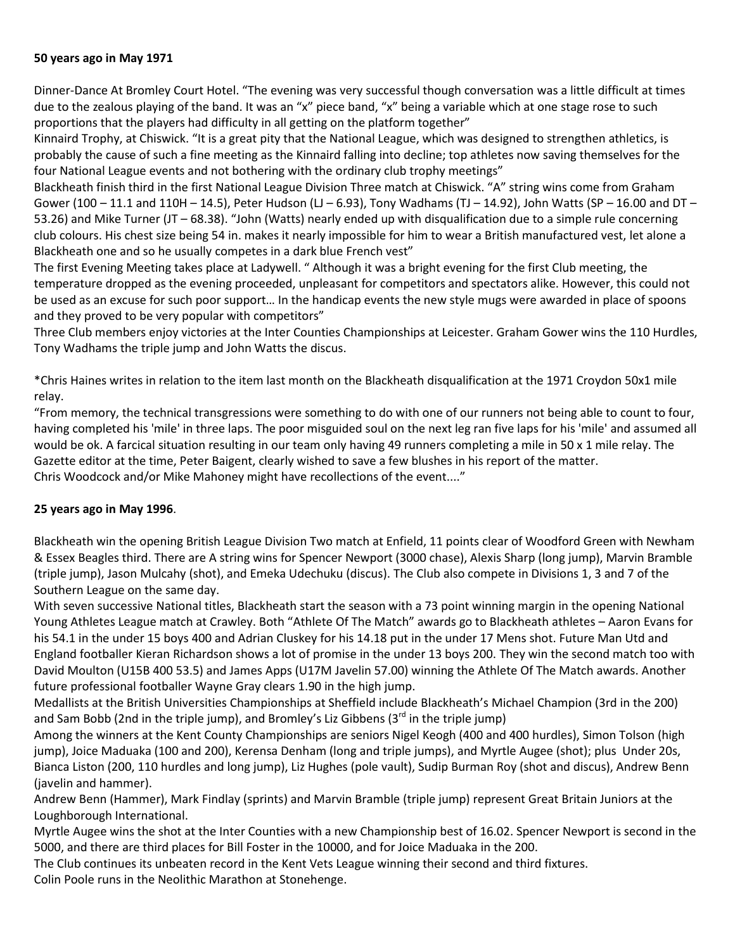#### **50 years ago in May 1971**

Dinner-Dance At Bromley Court Hotel. "The evening was very successful though conversation was a little difficult at times due to the zealous playing of the band. It was an "x" piece band, "x" being a variable which at one stage rose to such proportions that the players had difficulty in all getting on the platform together"

Kinnaird Trophy, at Chiswick. "It is a great pity that the National League, which was designed to strengthen athletics, is probably the cause of such a fine meeting as the Kinnaird falling into decline; top athletes now saving themselves for the four National League events and not bothering with the ordinary club trophy meetings"

Blackheath finish third in the first National League Division Three match at Chiswick. "A" string wins come from Graham Gower (100 – 11.1 and 110H – 14.5), Peter Hudson (LJ – 6.93), Tony Wadhams (TJ – 14.92), John Watts (SP – 16.00 and DT – 53.26) and Mike Turner (JT – 68.38). "John (Watts) nearly ended up with disqualification due to a simple rule concerning club colours. His chest size being 54 in. makes it nearly impossible for him to wear a British manufactured vest, let alone a Blackheath one and so he usually competes in a dark blue French vest"

The first Evening Meeting takes place at Ladywell. " Although it was a bright evening for the first Club meeting, the temperature dropped as the evening proceeded, unpleasant for competitors and spectators alike. However, this could not be used as an excuse for such poor support… In the handicap events the new style mugs were awarded in place of spoons and they proved to be very popular with competitors"

Three Club members enjoy victories at the Inter Counties Championships at Leicester. Graham Gower wins the 110 Hurdles, Tony Wadhams the triple jump and John Watts the discus.

\*Chris Haines writes in relation to the item last month on the Blackheath disqualification at the 1971 Croydon 50x1 mile relay.

"From memory, the technical transgressions were something to do with one of our runners not being able to count to four, having completed his 'mile' in three laps. The poor misguided soul on the next leg ran five laps for his 'mile' and assumed all would be ok. A farcical situation resulting in our team only having 49 runners completing a mile in 50 x 1 mile relay. The Gazette editor at the time, Peter Baigent, clearly wished to save a few blushes in his report of the matter. Chris Woodcock and/or Mike Mahoney might have recollections of the event...."

#### **25 years ago in May 1996**.

Blackheath win the opening British League Division Two match at Enfield, 11 points clear of Woodford Green with Newham & Essex Beagles third. There are A string wins for Spencer Newport (3000 chase), Alexis Sharp (long jump), Marvin Bramble (triple jump), Jason Mulcahy (shot), and Emeka Udechuku (discus). The Club also compete in Divisions 1, 3 and 7 of the Southern League on the same day.

With seven successive National titles, Blackheath start the season with a 73 point winning margin in the opening National Young Athletes League match at Crawley. Both "Athlete Of The Match" awards go to Blackheath athletes – Aaron Evans for his 54.1 in the under 15 boys 400 and Adrian Cluskey for his 14.18 put in the under 17 Mens shot. Future Man Utd and England footballer Kieran Richardson shows a lot of promise in the under 13 boys 200. They win the second match too with David Moulton (U15B 400 53.5) and James Apps (U17M Javelin 57.00) winning the Athlete Of The Match awards. Another future professional footballer Wayne Gray clears 1.90 in the high jump.

Medallists at the British Universities Championships at Sheffield include Blackheath's Michael Champion (3rd in the 200) and Sam Bobb (2nd in the triple jump), and Bromley's Liz Gibbens ( $3<sup>rd</sup>$  in the triple jump)

Among the winners at the Kent County Championships are seniors Nigel Keogh (400 and 400 hurdles), Simon Tolson (high jump), Joice Maduaka (100 and 200), Kerensa Denham (long and triple jumps), and Myrtle Augee (shot); plus Under 20s, Bianca Liston (200, 110 hurdles and long jump), Liz Hughes (pole vault), Sudip Burman Roy (shot and discus), Andrew Benn (javelin and hammer).

Andrew Benn (Hammer), Mark Findlay (sprints) and Marvin Bramble (triple jump) represent Great Britain Juniors at the Loughborough International.

Myrtle Augee wins the shot at the Inter Counties with a new Championship best of 16.02. Spencer Newport is second in the 5000, and there are third places for Bill Foster in the 10000, and for Joice Maduaka in the 200.

The Club continues its unbeaten record in the Kent Vets League winning their second and third fixtures.

Colin Poole runs in the Neolithic Marathon at Stonehenge.